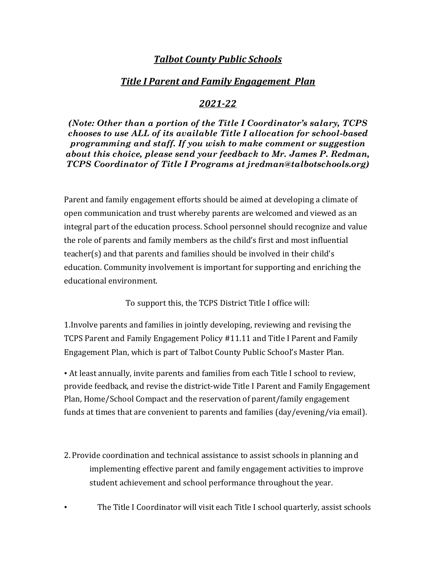## *Talbot County Public Schools*

## *Title I Parent and Family Engagement Plan*

## *2021-22*

*(Note: Other than a portion of the Title I Coordinator's salary, TCPS chooses to use ALL of its available Title I allocation for school-based programming and staff. If you wish to make comment or suggestion about this choice, please send your feedback to Mr. James P. Redman, TCPS Coordinator of Title I Programs at jredman@talbotschools.org)*

Parent and family engagement efforts should be aimed at developing a climate of open communication and trust whereby parents are welcomed and viewed as an integral part of the education process. School personnel should recognize and value the role of parents and family members as the child's first and most influential teacher(s) and that parents and families should be involved in their child's education. Community involvement is important for supporting and enriching the educational environment.

To support this, the TCPS District Title I office will:

1.Involve parents and families in jointly developing, reviewing and revising the TCPS Parent and Family Engagement Policy #11.11 and Title I Parent and Family Engagement Plan, which is part of Talbot County Public School's Master Plan.

• At least annually, invite parents and families from each Title I school to review, provide feedback, and revise the district-wide Title I Parent and Family Engagement Plan, Home/School Compact and the reservation of parent/family engagement funds at times that are convenient to parents and families (day/evening/via email).

2. Provide coordination and technical assistance to assist schools in planning and implementing effective parent and family engagement activities to improve student achievement and school performance throughout the year.

• The Title I Coordinator will visit each Title I school quarterly, assist schools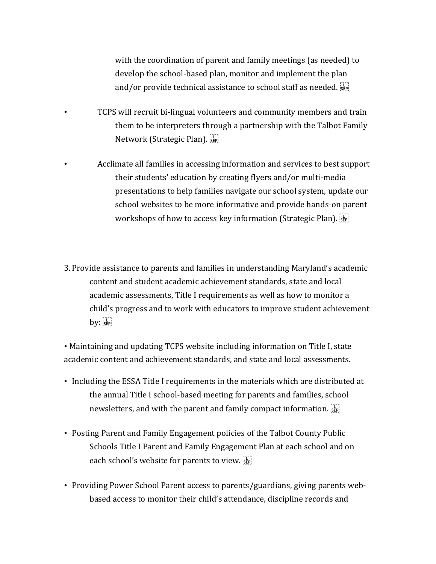with the coordination of parent and family meetings (as needed) to develop the school-based plan, monitor and implement the plan and/or provide technical assistance to school staff as needed.

- TCPS will recruit bi-lingual volunteers and community members and train them to be interpreters through a partnership with the Talbot Family Network (Strategic Plan).
- Acclimate all families in accessing information and services to best support their students' education by creating flyers and/or multi-media presentations to help families navigate our school system, update our school websites to be more informative and provide hands-on parent workshops of how to access key information (Strategic Plan).
- 3. Provide assistance to parents and families in understanding Maryland's academic content and student academic achievement standards, state and local academic assessments, Title I requirements as well as how to monitor a child's progress and to work with educators to improve student achievement  $by:$  $s_{EP}$

• Maintaining and updating TCPS website including information on Title I, state academic content and achievement standards, and state and local assessments.

- Including the ESSA Title I requirements in the materials which are distributed at the annual Title I school-based meeting for parents and families, school newsletters, and with the parent and family compact information. SEP!
- Posting Parent and Family Engagement policies of the Talbot County Public Schools Title I Parent and Family Engagement Plan at each school and on each school's website for parents to view.
- Providing Power School Parent access to parents/guardians, giving parents webbased access to monitor their child's attendance, discipline records and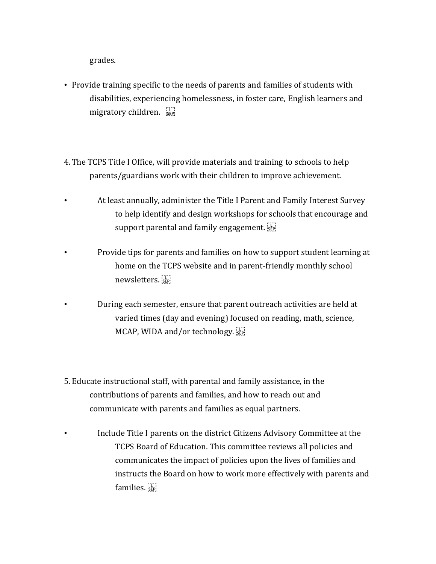grades.

- Provide training specific to the needs of parents and families of students with disabilities, experiencing homelessness, in foster care, English learners and migratory children.
- 4. The TCPS Title I Office, will provide materials and training to schools to help parents/guardians work with their children to improve achievement.
- At least annually, administer the Title I Parent and Family Interest Survey to help identify and design workshops for schools that encourage and support parental and family engagement.  $\frac{[1]}{[366]}$
- Provide tips for parents and families on how to support student learning at home on the TCPS website and in parent-friendly monthly school newsletters.
- During each semester, ensure that parent outreach activities are held at varied times (day and evening) focused on reading, math, science, MCAP, WIDA and/or technology.
- 5. Educate instructional staff, with parental and family assistance, in the contributions of parents and families, and how to reach out and communicate with parents and families as equal partners.
- Include Title I parents on the district Citizens Advisory Committee at the TCPS Board of Education. This committee reviews all policies and communicates the impact of policies upon the lives of families and instructs the Board on how to work more effectively with parents and families.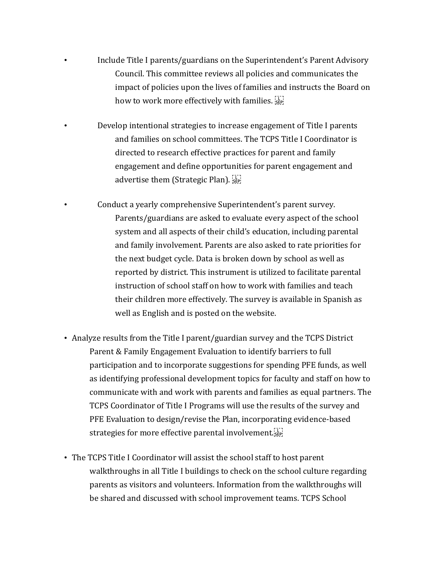- Include Title I parents/guardians on the Superintendent's Parent Advisory Council. This committee reviews all policies and communicates the impact of policies upon the lives of families and instructs the Board on how to work more effectively with families.  $\sum_{i=1}^{n}$
- Develop intentional strategies to increase engagement of Title I parents and families on school committees. The TCPS Title I Coordinator is directed to research effective practices for parent and family engagement and define opportunities for parent engagement and advertise them (Strategic Plan).
- Conduct a yearly comprehensive Superintendent's parent survey. Parents/guardians are asked to evaluate every aspect of the school system and all aspects of their child's education, including parental and family involvement. Parents are also asked to rate priorities for the next budget cycle. Data is broken down by school as well as reported by district. This instrument is utilized to facilitate parental instruction of school staff on how to work with families and teach their children more effectively. The survey is available in Spanish as well as English and is posted on the website.
- Analyze results from the Title I parent/guardian survey and the TCPS District Parent & Family Engagement Evaluation to identify barriers to full participation and to incorporate suggestions for spending PFE funds, as well as identifying professional development topics for faculty and staff on how to communicate with and work with parents and families as equal partners. The TCPS Coordinator of Title I Programs will use the results of the survey and PFE Evaluation to design/revise the Plan, incorporating evidence-based strategies for more effective parental involvement.
- The TCPS Title I Coordinator will assist the school staff to host parent walkthroughs in all Title I buildings to check on the school culture regarding parents as visitors and volunteers. Information from the walkthroughs will be shared and discussed with school improvement teams. TCPS School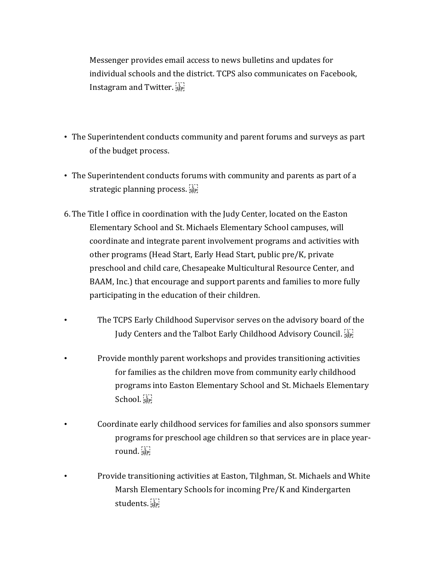Messenger provides email access to news bulletins and updates for individual schools and the district. TCPS also communicates on Facebook, Instagram and Twitter.

- The Superintendent conducts community and parent forums and surveys as part of the budget process.
- The Superintendent conducts forums with community and parents as part of a strategic planning process.
- 6. The Title I office in coordination with the Judy Center, located on the Easton Elementary School and St. Michaels Elementary School campuses, will coordinate and integrate parent involvement programs and activities with other programs (Head Start, Early Head Start, public pre/K, private preschool and child care, Chesapeake Multicultural Resource Center, and BAAM, Inc.) that encourage and support parents and families to more fully participating in the education of their children.
- The TCPS Early Childhood Supervisor serves on the advisory board of the Judy Centers and the Talbot Early Childhood Advisory Council.
- Provide monthly parent workshops and provides transitioning activities for families as the children move from community early childhood programs into Easton Elementary School and St. Michaels Elementary School.
	- Coordinate early childhood services for families and also sponsors summer programs for preschool age children so that services are in place yearround.
- Provide transitioning activities at Easton, Tilghman, St. Michaels and White Marsh Elementary Schools for incoming Pre/K and Kindergarten students.